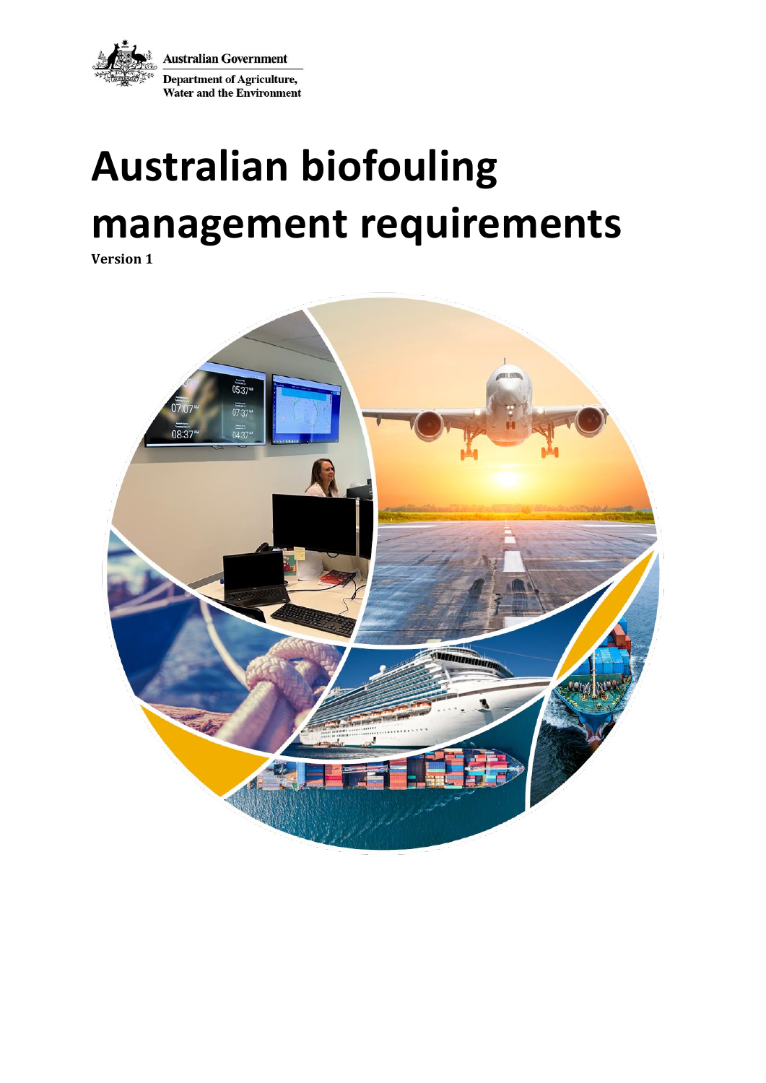**Australian Government** Department of Agriculture, **Water and the Environment** 

# **Australian biofouling management requirements**

**Version 1**

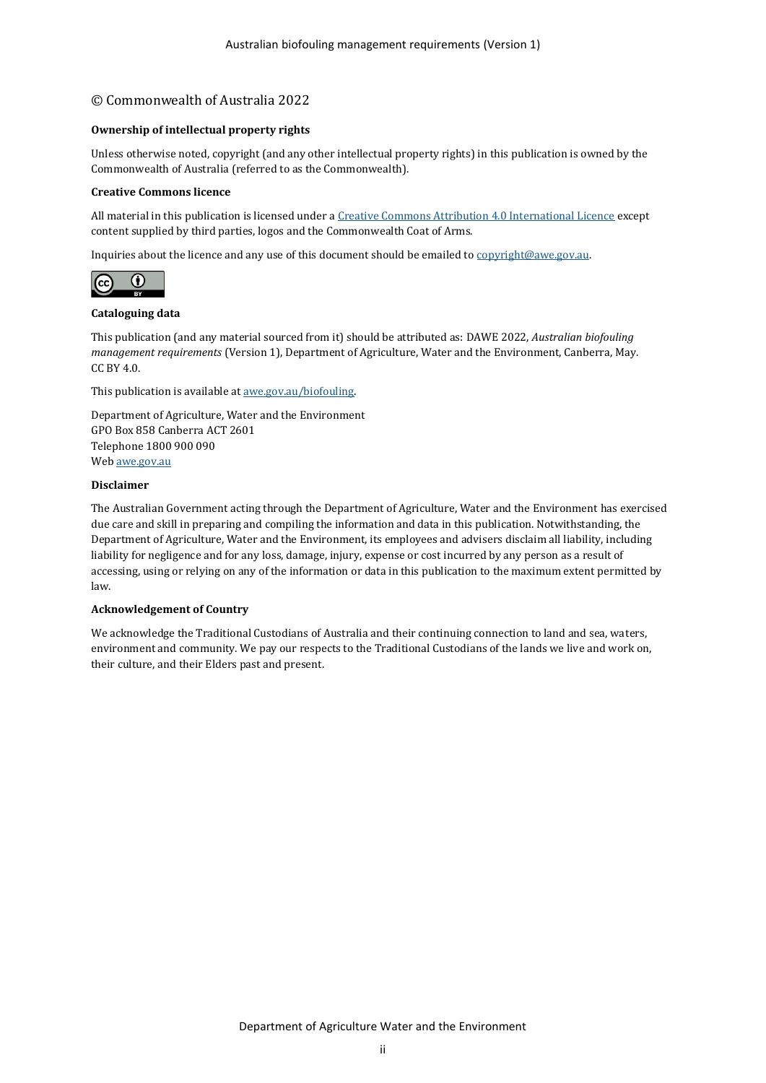#### © Commonwealth of Australia 2022

#### **Ownership of intellectual property rights**

Unless otherwise noted, copyright (and any other intellectual property rights) in this publication is owned by the Commonwealth of Australia (referred to as the Commonwealth).

#### **Creative Commons licence**

All material in this publication is licensed under [a Creative Commons Attribution 4.0 International Licence](https://creativecommons.org/licenses/by/4.0/legalcode) except content supplied by third parties, logos and the Commonwealth Coat of Arms.

Inquiries about the licence and any use of this document should be emailed t[o copyright@awe.gov.au.](mailto:copyright@awe.gov.au)



#### **Cataloguing data**

This publication (and any material sourced from it) should be attributed as: DAWE 2022, *Australian biofouling management requirements* (Version 1), Department of Agriculture, Water and the Environment, Canberra, May. CC BY 4.0.

This publication is available a[t awe.gov.au/biofouling.](https://www.awe.gov.au/biofouling)

Department of Agriculture, Water and the Environment GPO Box 858 Canberra ACT 2601 Telephone 1800 900 090 We[b awe.gov.au](https://www.awe.gov.au/)

#### **Disclaimer**

The Australian Government acting through the Department of Agriculture, Water and the Environment has exercised due care and skill in preparing and compiling the information and data in this publication. Notwithstanding, the Department of Agriculture, Water and the Environment, its employees and advisers disclaim all liability, including liability for negligence and for any loss, damage, injury, expense or cost incurred by any person as a result of accessing, using or relying on any of the information or data in this publication to the maximum extent permitted by law.

#### **Acknowledgement of Country**

We acknowledge the Traditional Custodians of Australia and their continuing connection to land and sea, waters, environment and community. We pay our respects to the Traditional Custodians of the lands we live and work on, their culture, and their Elders past and present.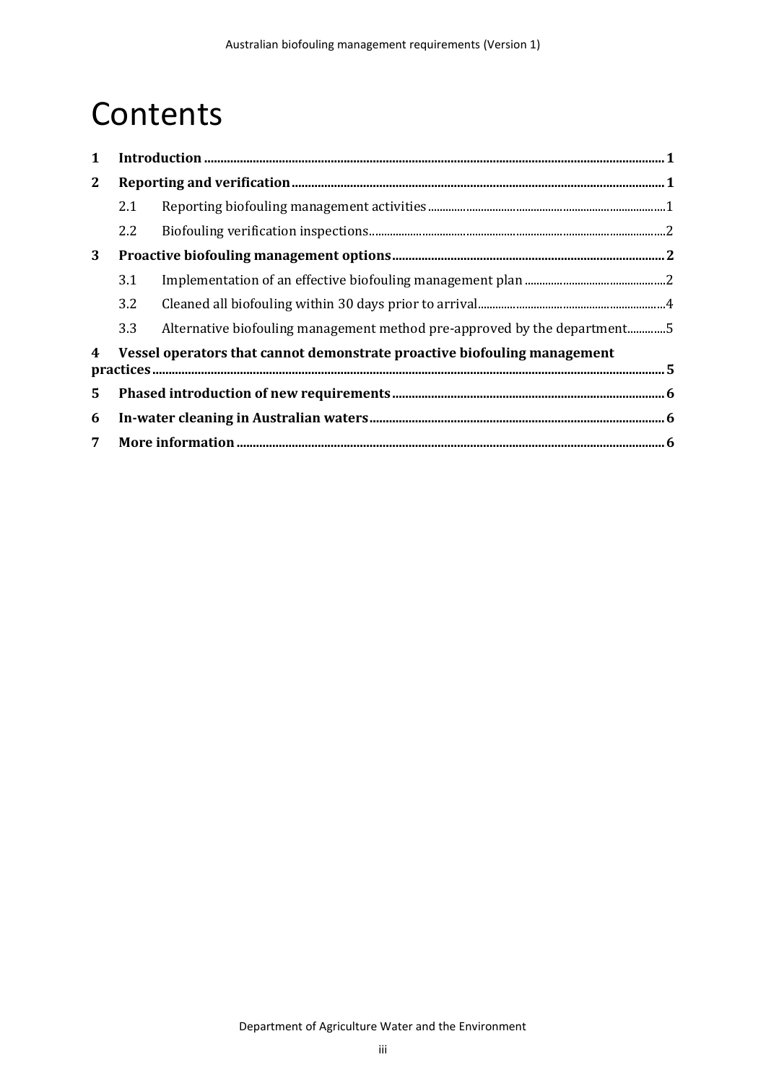### **Contents**

| $\mathbf{1}$   |                                                                          |                                                                          |  |
|----------------|--------------------------------------------------------------------------|--------------------------------------------------------------------------|--|
| $\mathbf{2}$   |                                                                          |                                                                          |  |
|                | 2.1                                                                      |                                                                          |  |
|                | 2.2                                                                      |                                                                          |  |
| 3              |                                                                          |                                                                          |  |
|                | 3.1                                                                      |                                                                          |  |
|                | 3.2                                                                      |                                                                          |  |
|                | 3.3                                                                      | Alternative biofouling management method pre-approved by the department5 |  |
| 4              | Vessel operators that cannot demonstrate proactive biofouling management |                                                                          |  |
|                |                                                                          |                                                                          |  |
| $5^{\circ}$    |                                                                          |                                                                          |  |
| 6              |                                                                          |                                                                          |  |
| 7 <sup>7</sup> |                                                                          |                                                                          |  |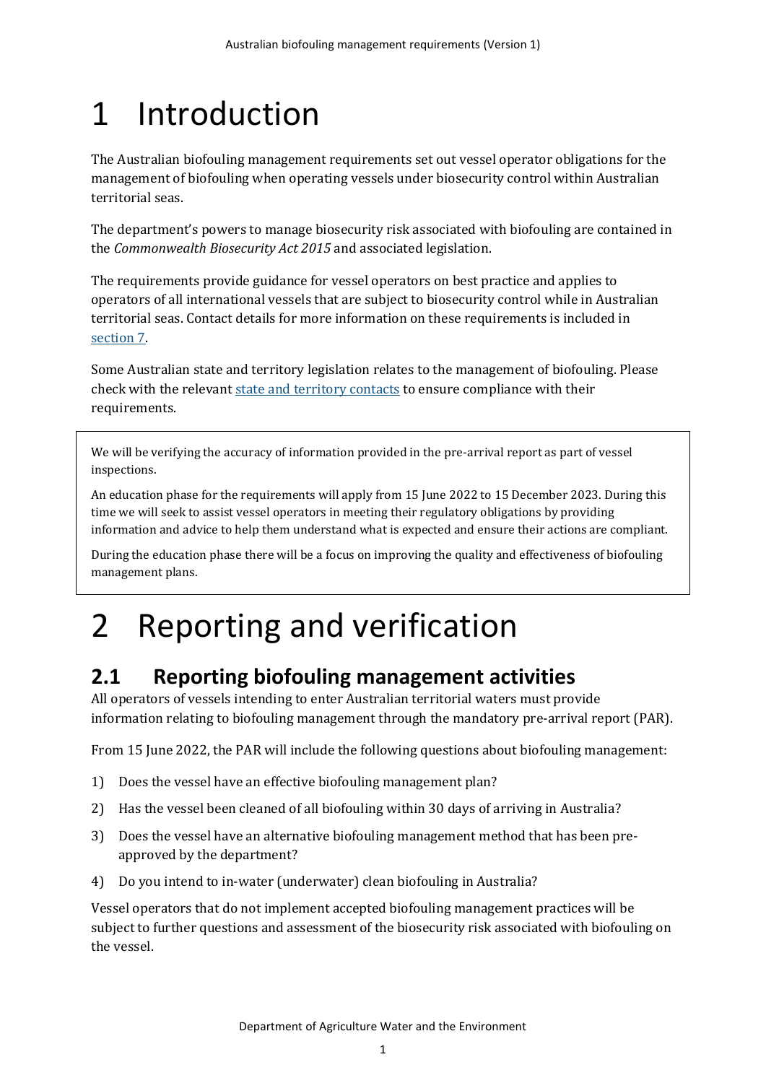## <span id="page-3-0"></span>1 Introduction

The Australian biofouling management requirements set out vessel operator obligations for the management of biofouling when operating vessels under biosecurity control within Australian territorial seas.

The department's powers to manage biosecurity risk associated with biofouling are contained in the *Commonwealth Biosecurity Act 2015* and associated legislation.

The requirements provide guidance for vessel operators on best practice and applies to operators of all international vessels that are subject to biosecurity control while in Australian territorial seas. Contact details for more information on these requirements is included in [section 7.](#page-8-2)

Some Australian state and territory legislation relates to the management of biofouling. Please check with the relevant [state and territory contacts](https://www.awe.gov.au/biosecurity-trade/aircraft-vessels-military/vessels/marine-pest-biosecurity/biofouling/anti-fouling-and-inwater-cleaning-guidelines) to ensure compliance with their requirements.

We will be verifying the accuracy of information provided in the pre-arrival report as part of vessel inspections.

An education phase for the requirements will apply from 15 June 2022 to 15 December 2023. During this time we will seek to assist vessel operators in meeting their regulatory obligations by providing information and advice to help them understand what is expected and ensure their actions are compliant.

During the education phase there will be a focus on improving the quality and effectiveness of biofouling management plans.

### <span id="page-3-1"></span>2 Reporting and verification

### <span id="page-3-2"></span>**2.1 Reporting biofouling management activities**

All operators of vessels intending to enter Australian territorial waters must provide information relating to biofouling management through the mandatory pre-arrival report (PAR).

From 15 June 2022, the PAR will include the following questions about biofouling management:

- 1) Does the vessel have an effective biofouling management plan?
- 2) Has the vessel been cleaned of all biofouling within 30 days of arriving in Australia?
- 3) Does the vessel have an alternative biofouling management method that has been preapproved by the department?
- 4) Do you intend to in-water (underwater) clean biofouling in Australia?

Vessel operators that do not implement accepted biofouling management practices will be subject to further questions and assessment of the biosecurity risk associated with biofouling on the vessel.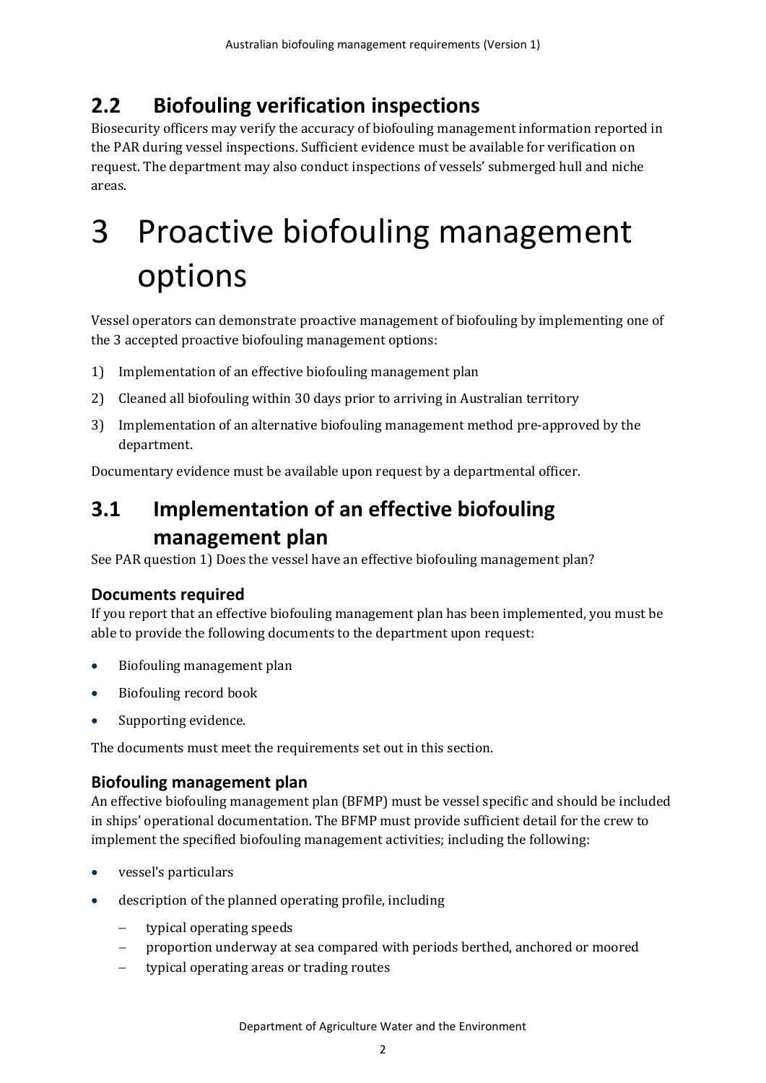### <span id="page-4-0"></span>**2.2 Biofouling verification inspections**

Biosecurity officers may verify the accuracy of biofouling management information reported in the PAR during vessel inspections. Sufficient evidence must be available for verification on request. The department may also conduct inspections of vessels' submerged hull and niche areas.

## <span id="page-4-1"></span>3 Proactive biofouling management options

Vessel operators can demonstrate proactive management of biofouling by implementing one of the 3 accepted proactive biofouling management options:

- 1) Implementation of an effective biofouling management plan
- 2) Cleaned all biofouling within 30 days prior to arriving in Australian territory
- 3) Implementation of an alternative biofouling management method pre-approved by the department.

Documentary evidence must be available upon request by a departmental officer.

### <span id="page-4-2"></span>**3.1 Implementation of an effective biofouling management plan**

See PAR question 1) Does the vessel have an effective biofouling management plan?

#### **Documents required**

If you report that an effective biofouling management plan has been implemented, you must be able to provide the following documents to the department upon request:

- Biofouling management plan
- Biofouling record book
- Supporting evidence.

The documents must meet the requirements set out in this section.

#### **Biofouling management plan**

An effective biofouling management plan (BFMP) must be vessel specific and should be included in ships' operational documentation. The BFMP must provide sufficient detail for the crew to implement the specified biofouling management activities; including the following:

- vessel's particulars
- description of the planned operating profile, including
	- − typical operating speeds
	- − proportion underway at sea compared with periods berthed, anchored or moored
	- − typical operating areas or trading routes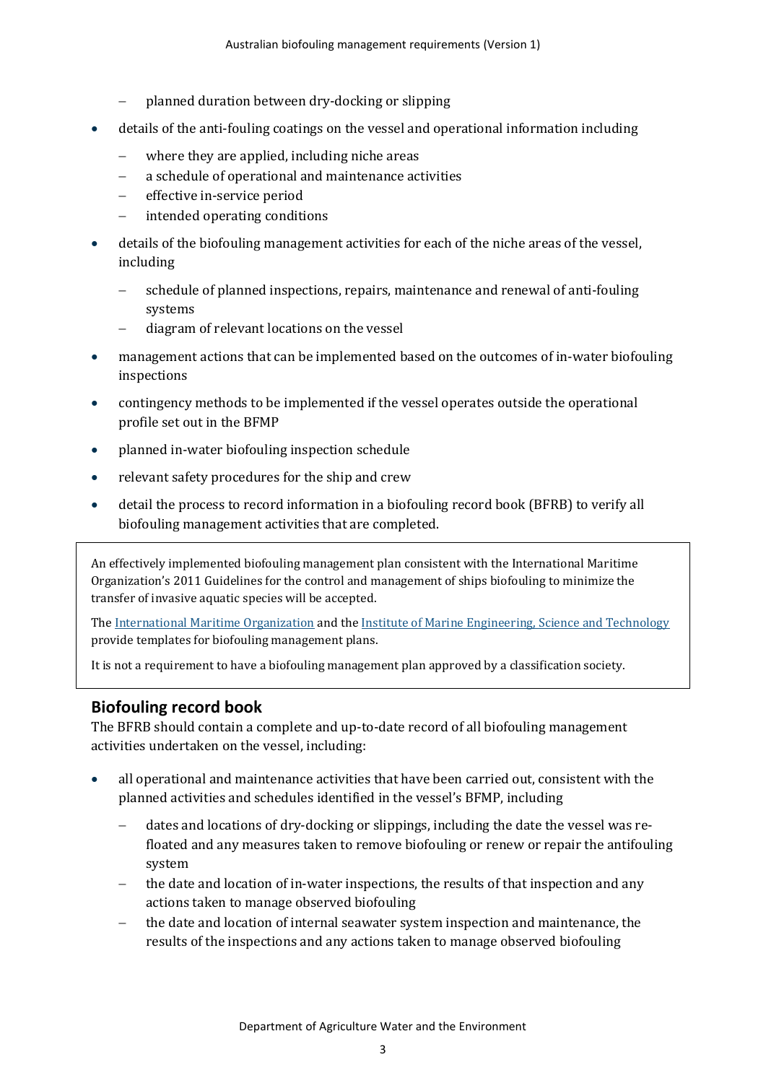- − planned duration between dry-docking or slipping
- details of the anti-fouling coatings on the vessel and operational information including
	- where they are applied, including niche areas
	- − a schedule of operational and maintenance activities
	- effective in-service period
	- − intended operating conditions
- details of the biofouling management activities for each of the niche areas of the vessel, including
	- schedule of planned inspections, repairs, maintenance and renewal of anti-fouling systems
	- − diagram of relevant locations on the vessel
- management actions that can be implemented based on the outcomes of in-water biofouling inspections
- contingency methods to be implemented if the vessel operates outside the operational profile set out in the BFMP
- planned in-water biofouling inspection schedule
- relevant safety procedures for the ship and crew
- detail the process to record information in a biofouling record book (BFRB) to verify all biofouling management activities that are completed.

An effectively implemented biofouling management plan consistent with the International Maritime Organization's 2011 Guidelines for the control and management of ships biofouling to minimize the transfer of invasive aquatic species will be accepted.

Th[e International Maritime Organization](https://www.imo.org/en/OurWork/Environment/Pages/Biofouling.aspx) and the [Institute of Marine Engineering, Science and Technology](https://www.imarest.org/special-interest-groups/biofouling-management/3505-template-for-biofouling-management-plan) provide templates for biofouling management plans.

It is not a requirement to have a biofouling management plan approved by a classification society.

#### **Biofouling record book**

The BFRB should contain a complete and up-to-date record of all biofouling management activities undertaken on the vessel, including:

- all operational and maintenance activities that have been carried out, consistent with the planned activities and schedules identified in the vessel's BFMP, including
	- − dates and locations of dry-docking or slippings, including the date the vessel was refloated and any measures taken to remove biofouling or renew or repair the antifouling system
	- the date and location of in-water inspections, the results of that inspection and any actions taken to manage observed biofouling
	- the date and location of internal seawater system inspection and maintenance, the results of the inspections and any actions taken to manage observed biofouling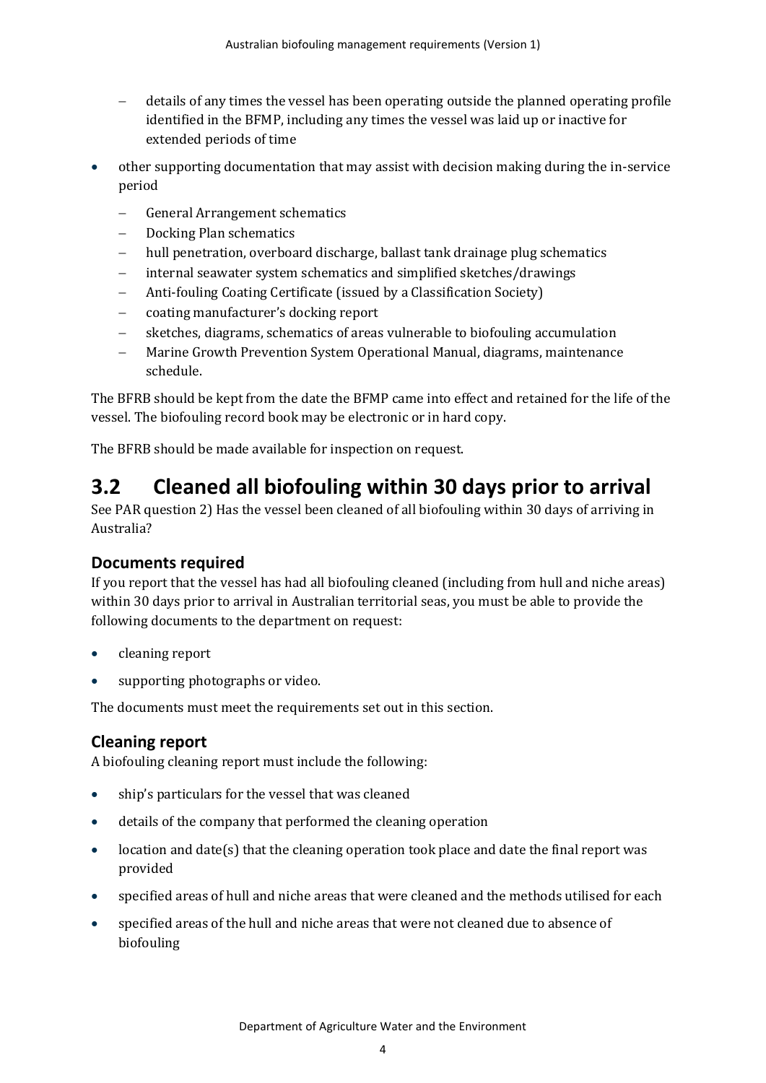- − details of any times the vessel has been operating outside the planned operating profile identified in the BFMP, including any times the vessel was laid up or inactive for extended periods of time
- other supporting documentation that may assist with decision making during the in-service period
	- General Arrangement schematics
	- − Docking Plan schematics
	- hull penetration, overboard discharge, ballast tank drainage plug schematics
	- internal seawater system schematics and simplified sketches/drawings
	- − Anti-fouling Coating Certificate (issued by a Classification Society)
	- − coating manufacturer's docking report
	- sketches, diagrams, schematics of areas vulnerable to biofouling accumulation
	- − Marine Growth Prevention System Operational Manual, diagrams, maintenance schedule.

The BFRB should be kept from the date the BFMP came into effect and retained for the life of the vessel. The biofouling record book may be electronic or in hard copy.

The BFRB should be made available for inspection on request.

### <span id="page-6-0"></span>**3.2 Cleaned all biofouling within 30 days prior to arrival**

See PAR question 2) Has the vessel been cleaned of all biofouling within 30 days of arriving in Australia?

#### **Documents required**

If you report that the vessel has had all biofouling cleaned (including from hull and niche areas) within 30 days prior to arrival in Australian territorial seas, you must be able to provide the following documents to the department on request:

- cleaning report
- supporting photographs or video.

The documents must meet the requirements set out in this section.

#### **Cleaning report**

A biofouling cleaning report must include the following:

- ship's particulars for the vessel that was cleaned
- details of the company that performed the cleaning operation
- location and date(s) that the cleaning operation took place and date the final report was provided
- specified areas of hull and niche areas that were cleaned and the methods utilised for each
- specified areas of the hull and niche areas that were not cleaned due to absence of biofouling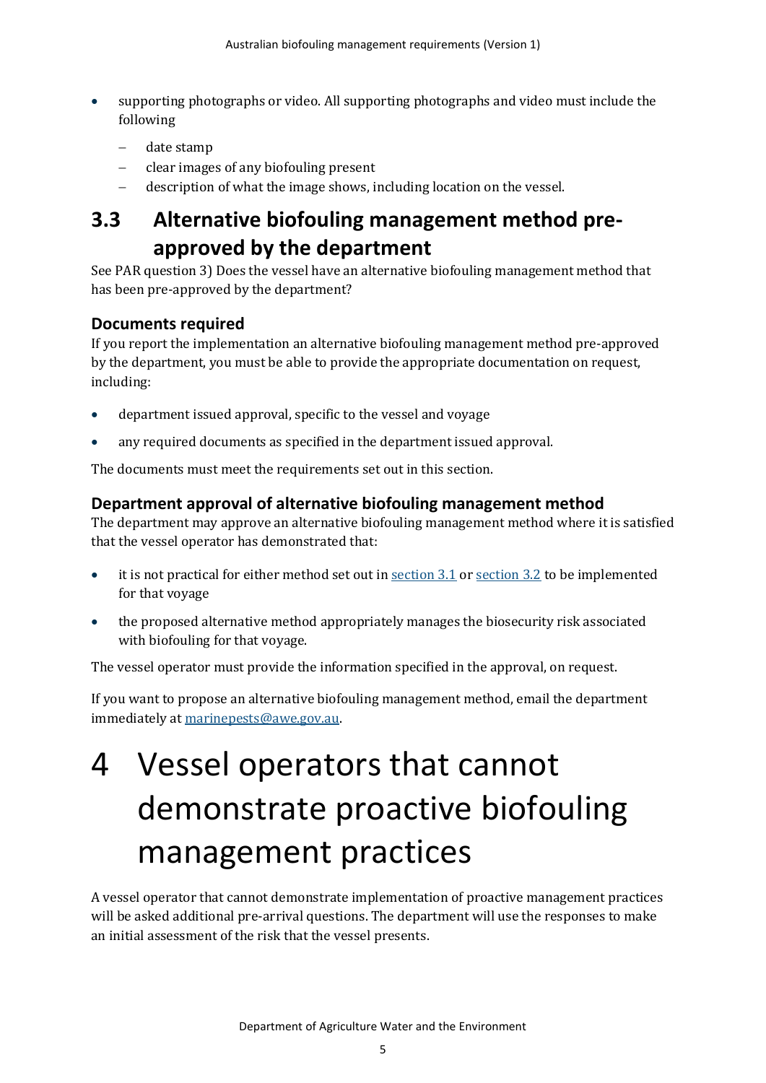- supporting photographs or video. All supporting photographs and video must include the following
	- − date stamp
	- − clear images of any biofouling present
	- − description of what the image shows, including location on the vessel.

### <span id="page-7-0"></span>**3.3 Alternative biofouling management method preapproved by the department**

See PAR question 3) Does the vessel have an alternative biofouling management method that has been pre-approved by the department?

#### **Documents required**

If you report the implementation an alternative biofouling management method pre-approved by the department, you must be able to provide the appropriate documentation on request, including:

- department issued approval, specific to the vessel and voyage
- any required documents as specified in the department issued approval.

The documents must meet the requirements set out in this section.

#### **Department approval of alternative biofouling management method**

The department may approve an alternative biofouling management method where it is satisfied that the vessel operator has demonstrated that:

- it is not practical for either method set out i[n section 3.1](#page-4-2) or [section 3.2](#page-6-0) to be implemented for that voyage
- the proposed alternative method appropriately manages the biosecurity risk associated with biofouling for that voyage.

The vessel operator must provide the information specified in the approval, on request.

If you want to propose an alternative biofouling management method, email the department immediately a[t marinepests@awe.gov.au.](mailto:marinepests@awe.gov.au)

## <span id="page-7-1"></span>4 Vessel operators that cannot demonstrate proactive biofouling management practices

A vessel operator that cannot demonstrate implementation of proactive management practices will be asked additional pre-arrival questions. The department will use the responses to make an initial assessment of the risk that the vessel presents.